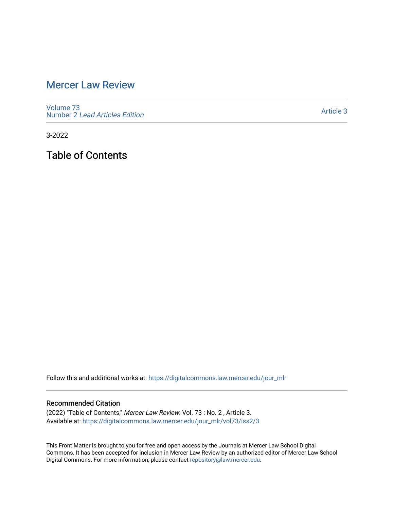## [Mercer Law Review](https://digitalcommons.law.mercer.edu/jour_mlr)

[Volume 73](https://digitalcommons.law.mercer.edu/jour_mlr/vol73) Number 2 [Lead Articles Edition](https://digitalcommons.law.mercer.edu/jour_mlr/vol73/iss2)

[Article 3](https://digitalcommons.law.mercer.edu/jour_mlr/vol73/iss2/3) 

3-2022

Table of Contents

Follow this and additional works at: [https://digitalcommons.law.mercer.edu/jour\\_mlr](https://digitalcommons.law.mercer.edu/jour_mlr?utm_source=digitalcommons.law.mercer.edu%2Fjour_mlr%2Fvol73%2Fiss2%2F3&utm_medium=PDF&utm_campaign=PDFCoverPages)

#### Recommended Citation

(2022) "Table of Contents," Mercer Law Review: Vol. 73 : No. 2 , Article 3. Available at: [https://digitalcommons.law.mercer.edu/jour\\_mlr/vol73/iss2/3](https://digitalcommons.law.mercer.edu/jour_mlr/vol73/iss2/3?utm_source=digitalcommons.law.mercer.edu%2Fjour_mlr%2Fvol73%2Fiss2%2F3&utm_medium=PDF&utm_campaign=PDFCoverPages)

This Front Matter is brought to you for free and open access by the Journals at Mercer Law School Digital Commons. It has been accepted for inclusion in Mercer Law Review by an authorized editor of Mercer Law School Digital Commons. For more information, please contact [repository@law.mercer.edu](mailto:repository@law.mercer.edu).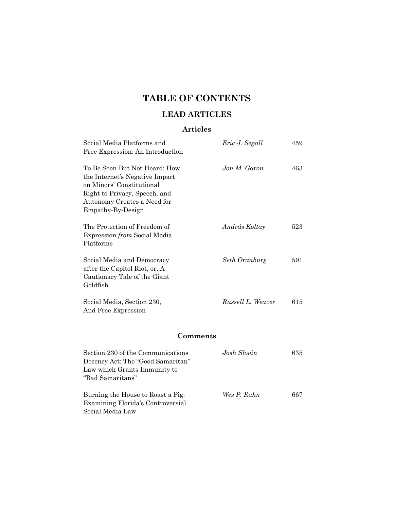# **TABLE OF CONTENTS**

## **LEAD ARTICLES**

### **Articles**

| Social Media Platforms and<br>Free Expression: An Introduction                                                                                                                    | Eric J. Segall    | 459 |  |  |
|-----------------------------------------------------------------------------------------------------------------------------------------------------------------------------------|-------------------|-----|--|--|
| To Be Seen But Not Heard: How<br>the Internet's Negative Impact<br>on Minors' Constitutional<br>Right to Privacy, Speech, and<br>Autonomy Creates a Need for<br>Empathy-By-Design | Jon M. Garon      | 463 |  |  |
| The Protection of Freedom of<br>Expression from Social Media<br>Platforms                                                                                                         | András Koltay     | 523 |  |  |
| Social Media and Democracy<br>after the Capitol Riot, or, A<br>Cautionary Tale of the Giant<br>Goldfish                                                                           | Seth Oranburg     | 591 |  |  |
| Social Media, Section 230,<br>And Free Expression                                                                                                                                 | Russell L. Weaver | 615 |  |  |
| Comments                                                                                                                                                                          |                   |     |  |  |
| Section 230 of the Communications<br>Decency Act: The "Good Samaritan"<br>Law which Grants Immunity to<br>"Bad Samaritans"                                                        | Josh Slovin       | 635 |  |  |
| Burning the House to Roast a Pig:<br>Examining Florida's Controversial<br>Social Media Law                                                                                        | Wes P. Rahn       | 667 |  |  |